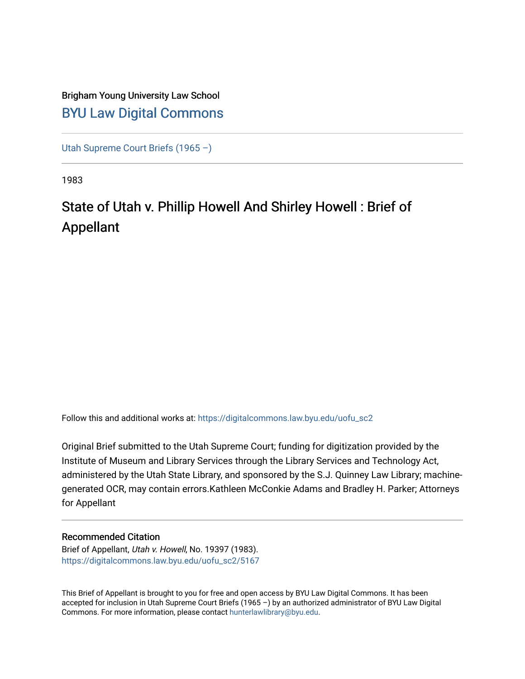# Brigham Young University Law School [BYU Law Digital Commons](https://digitalcommons.law.byu.edu/)

[Utah Supreme Court Briefs \(1965 –\)](https://digitalcommons.law.byu.edu/uofu_sc2)

1983

# State of Utah v. Phillip Howell And Shirley Howell : Brief of Appellant

Follow this and additional works at: [https://digitalcommons.law.byu.edu/uofu\\_sc2](https://digitalcommons.law.byu.edu/uofu_sc2?utm_source=digitalcommons.law.byu.edu%2Fuofu_sc2%2F5167&utm_medium=PDF&utm_campaign=PDFCoverPages)

Original Brief submitted to the Utah Supreme Court; funding for digitization provided by the Institute of Museum and Library Services through the Library Services and Technology Act, administered by the Utah State Library, and sponsored by the S.J. Quinney Law Library; machinegenerated OCR, may contain errors.Kathleen McConkie Adams and Bradley H. Parker; Attorneys for Appellant

# Recommended Citation

Brief of Appellant, Utah v. Howell, No. 19397 (1983). [https://digitalcommons.law.byu.edu/uofu\\_sc2/5167](https://digitalcommons.law.byu.edu/uofu_sc2/5167?utm_source=digitalcommons.law.byu.edu%2Fuofu_sc2%2F5167&utm_medium=PDF&utm_campaign=PDFCoverPages) 

This Brief of Appellant is brought to you for free and open access by BYU Law Digital Commons. It has been accepted for inclusion in Utah Supreme Court Briefs (1965 –) by an authorized administrator of BYU Law Digital Commons. For more information, please contact [hunterlawlibrary@byu.edu](mailto:hunterlawlibrary@byu.edu).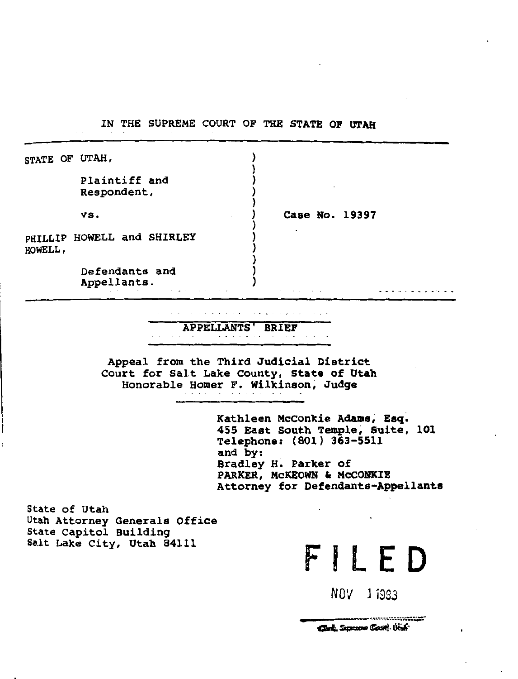IN THE SUPREME COURT OF THE STATE OP UTAH

|         | STATE OF UTAH,                |                |
|---------|-------------------------------|----------------|
|         | Plaintiff and<br>Respondent,  |                |
|         | vs.                           | Case No. 19397 |
| HOWELL, | PHILLIP HOWELL and SHIRLEY    |                |
|         | Defendants and<br>Appellants. |                |

APPELLANTS' BRIEF

Appeal from the Third Judicial District Court for Salt Lake County, State of Utah Honorable Homer F. Wilkinson, Judge

> Kathleen McConkie Adams, Esq. 455 East South Temple, Suite, 101 Telephone: (801) 363-5511 and by: Bradley H. Parker of PARKER, McKEOWN & McCONKIE Attorney for Defendants-Appellants

> > $FILED$

*NOV* J *1983* 

Clark, Samone Court, Utah

State of Utah Utah Attorney Generals Office State Capitol Building<br>Salt Lake City, Utah 84111

 $\blacksquare$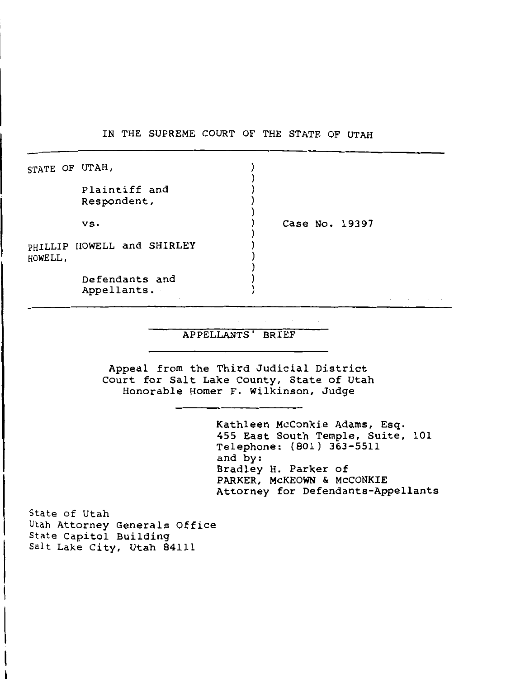IN THE SUPREME COURT OF THE STATE OF UTAH

| STATE OF UTAH, |                               |                |  |  |
|----------------|-------------------------------|----------------|--|--|
|                | Plaintiff and<br>Respondent,  |                |  |  |
|                | vs.                           | Case No. 19397 |  |  |
| HOWELL,        | PHILLIP HOWELL and SHIRLEY    |                |  |  |
|                | Defendants and<br>Appellants. |                |  |  |

## APPELLANTS' BRIEF

Appeal from the Third Judicial District Court for Salt Lake County, State of Utah Honorable Homer F. Wilkinson, Judge

> Kathleen McConkie Adams, Esq. 455 East South Temple, Suite, 101 Telephone: (801) 363-5511 and by: Bradley H. Parker of PARKER, McKEOWN & McCONKIE Attorney for Defendants-Appellants

State of Utah Utah Attorney Generals Office State Capitol Building Salt Lake City, Utah 84111

ł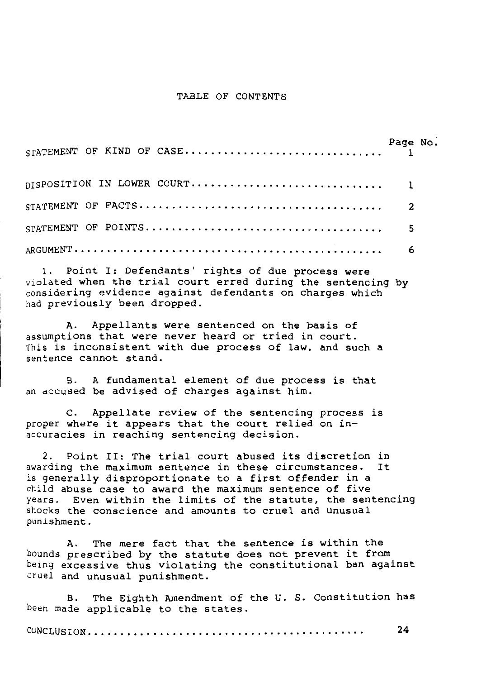#### TABLE OF CONTENTS

1. Point I: Defendants' rights of due process were violated when the trial court erred during the sentencing by considering evidence against defendants on charges which had previously been dropped.

A. Appellants were sentenced on the basis of assumptions that were never heard or tried in court. This is inconsistent with due process of law, and such a sentence cannot stand.

B. A fundamental element of due process is that an accused be advised of charges against him.

c. Appellate review of the sentencing process is proper where it appears that the court relied on inaccuracies in reaching sentencing decision.

2. Point II: The trial court abused its discretion in awarding the maximum sentence in these circumstances. It is generally disproportionate to a first offender in a child abuse case to award the maximum sentence of five years. Even within the limits of the statute, the sentencing shocks the conscience and amounts to cruel and unusual punishment.

A. The mere fact that the sentence *is* within the bounds prescribed by the statute does not prevent it from being excessive thus violating the constitutional ban against cruel and unusual punishment.

B. The Eighth Amendment of the U. S. Constitution has been made applicable to the states.

CONCLUSION ...... , . . . . . . . . . . . . . . . . . . . . . . . . . . . . . . . . . . . . 24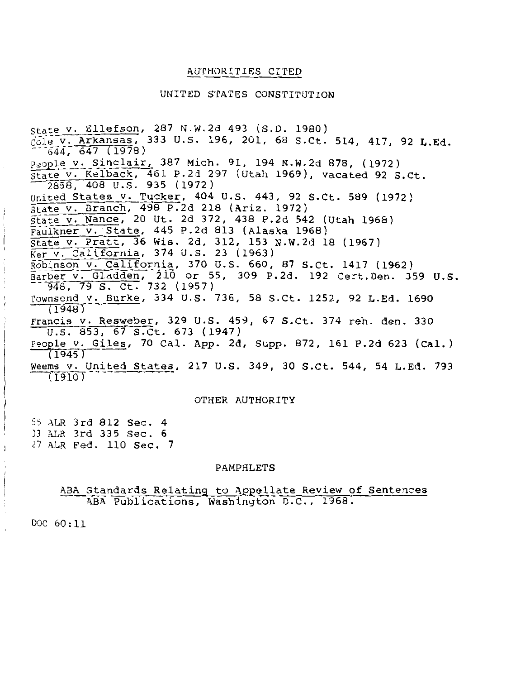# AU'rHOR.ITIES CITED

#### UNITED STATES CONSTITUTION

state v. Ellefson, 287 N.W.2d 493 (S.D. 1980)<br>cole v. Arkansas, 333 U.S. 196, 201, 68 S.Ct. 514, 417, 92 L.Ed.  $644, 647 (1978)$ People v. Sinclair, 387 Mich. 91, 194 N.W.2d 878, (1972) state v. Kelback, 461 P.2d 297 (Utah 1969), vacated 92 s.ct. 2858, 408 u.s. 935 (1972) United States v. Tucker, 404 U.S. 443, 92 S.Ct. 589 (1972) state v. Branch, 498 P.2d 218 (Ariz. 1972) State v. Nance, 20 Ut. 2d 372, 438 P.2d 542 (Utah 1968) Faulkner v. state, 445 P.2d 813 (Alaska 1968) State v. Pratt, 36 Wis. 2d, 312, 153 N.W.2d 18 (1967) Ker v. California, 374 U.S. 23 (1963) Robinson v. California, 370 U.S. 660, 87 s.ct. 1417 (1962) Barber v. or 55, 309 P.2d. 192 cert.Den. 359 u.s. --943, 79 S. Ct. 732 (1957) Townsend v. Burke, 334 U.S. 736, 58 S.Ct. 1252, 92 L.Ed. 1690 Francis v. Resweber, 329 U.S. 459, 67 S.Ct. 374 reh. den. 330<br>U.S. 853, 67 S.Ct. 673 (1947) People v. Giles, 70 Cal. App. 2d, Supp. 872, 161 P.2d 623 (Cal.)  $(1945)$ Weems v. United States, 217 U.S. 349, 30 S.Ct. 544, 54 L.Ed. 793  $(1910)$ 

# OTHER AUTHORITY

55 ALR 3rd 812 Sec. 4 33 ALR 3rd 335 Sec. 6 *<sup>27</sup>*ALR Fed. 110 Sec. 7

#### PAMPHLETS

#### ABA Standards Relating to Appellate Review of Sentences ABA Publications, Washington D.C., 1968.

DOC 60:11

 $\overline{\phantom{a}}$ ÷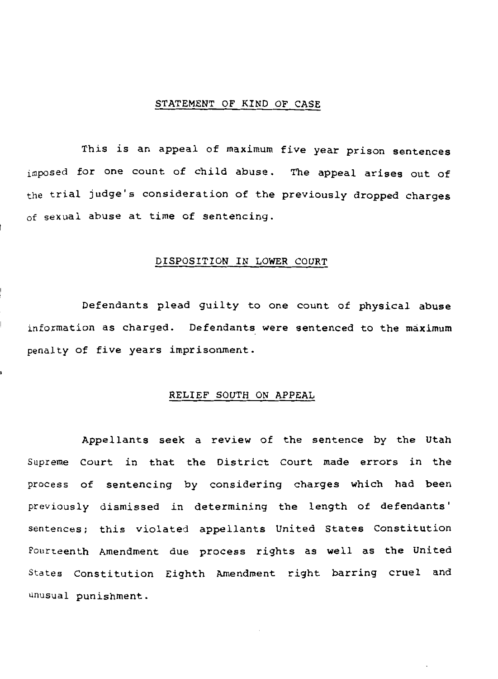#### STATEMENT OF KIND OF CASE

This is an appeal of maximum five year prison sentences imposed for one count of child abuse. The appeal arises out of the trial judge's consideration of the previously dropped charges of sexual abuse at time of sentencing.

#### DISPOSITION IN LOWER COURT

Defendants plead guilty to one count of physical abuse information as charged. Defendants were sentenced to the maximum penalty of five years imprisonment.

# RELIEF SOUTH ON APPEAL

Appellants seek a review of the sentence by the Utah Supreme Court in that the District Court made errors in the process of sentencing by considering charges which had been previously dismissed in determining the length of defendants' sentences; this violated appellants United States Constitution Fourteenth Amendment due process rights as well as the United States Constitution Eighth Amendment right barring cruel and unusual punishment.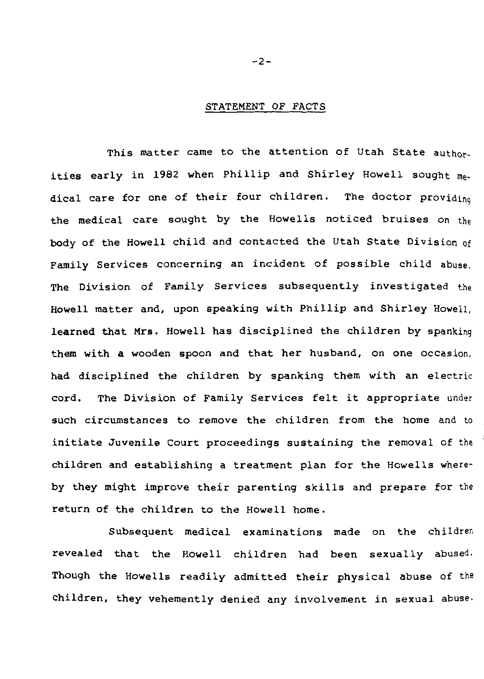# STATEMENT OF FACTS

This matter came to the attention of Utah State author. ities early in 1982 when Phillip and Shirley Howell sought medical care for one of their four children. The doctor providing the medical care sought by the Howells noticed bruises on the body of the Howell child and contacted the Utah State Division of Family Services concerning an incident of possible child abuse. The Division of Family Services subsequently investigated the Howell matter and, upon speaking with Phillip and Shirley Howell, learned that Mrs. Howell has disciplined the children by spanking them with a wooden spoon and that her husband, on one occasion, had disciplined the children by spanking them with an electric cord. The Division of Family Services felt it appropriate under such circumstances to remove the children from the home and to initiate Juvenile Court proceedings sustaining the removal of the children and establishing a treatment plan for the Howells whereby they might improve their parenting skills and prepare for the return of the children to the Howell home.

Subsequent medical examinations made on the children revealed that the Howell children had been sexually abused. Though the Howells readily admitted their physical abuse of the children, they vehemently denied any involvement in sexual abuse.

 $-2-$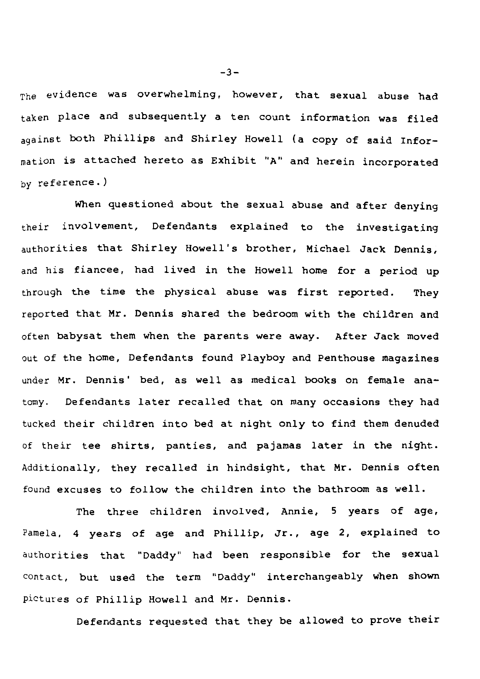$T<sub>the</sub>$  evidence was overwhelming, however, that sexual abuse had taken place and subsequently a ten count information was filed against both Phillips and Shirley Howell (a copy of said Information *is* attached hereto as Exhibit "A" and herein incorporated by reference. )

When questioned about the sexual abuse and after denying their involvement, Defendants explained to the investigating authorities that Shirley Howell's brother, Michael Jack Dennis, and his fiancee, had lived in the Howell home for a period up through the time the physical abuse was first reported. They reported that Mr. Dennis shared the bedroom with the children and often babysat them when the parents were away. After Jack moved out of the home, Defendants found Playboy and Penthouse magazines under Mr. Dennis' bed, as well as medical books on female anatomy. Defendants later recalled that on many occasions they had tucked their children into bed at night only to find them denuded of their tee shirts, panties, and pajamas later in the night. Additionally, they recalled in hindsight, that Mr. Dennis often found excuses to follow the children into the bathroom as well.

The three children involved, Annie, 5 years of age, Pamela, 4 years of age and Phillip, Jr., age 2, explained to authorities that "Daddy" had been responsible for the sexual contact, but used the term "Daddy" interchangeably when shown pictures of Phillip Howell and Mr. Dennis.

Defendants requested that they be allowed to prove their

-3-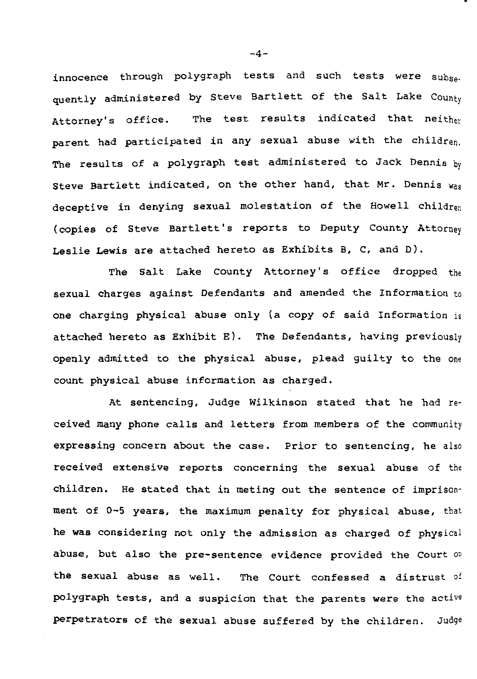innocence through polygraph tests and such tests were subsequently administered by Steve Bartlett of the Salt Lake County Attorney's office. The test results indicated that neithou parent had participated in any sexual abuse with the children. The results of a polygraph test administered to Jack Dennis hy Steve Bartlett indicated, on the other hand, that Mr. Dennis was deceptive in denying sexual molestation of the Howell children {copies of Steve Bartlett's reports to Deputy County Attorney Leslie Lewis are attached hereto as Exhibits B, C, and D).

The Salt Lake County Attorney's office dropped the sexual charges against Defendants and amended the Information to one charging physical abuse only (a copy of said Information is attached hereto as Exhibit E). The Defendants, having previously openly admitted to the physical abuse, plead guilty to the one count physical abuse information as charged.

At sentencing, Judge Wilkinson stated that he had received many phone calls and letters from members of the community expressing concern about the case. Prior to sentencing, he also received extensive reports concerning the sexual abuse of the children. He stated that in meting out the sentence of imprisonment of 0-5 years, the maximum penalty for physical abuse, that he was considering not only the admission as charged of physical abuse, but also the pre-sentence evidence provided the Court on the sexual abuse as well. The Court confessed a distrust of polygraph tests, and a suspicion that the parents were the active perpetrators of the sexual abuse suffered by the children. Judge

 $-4-$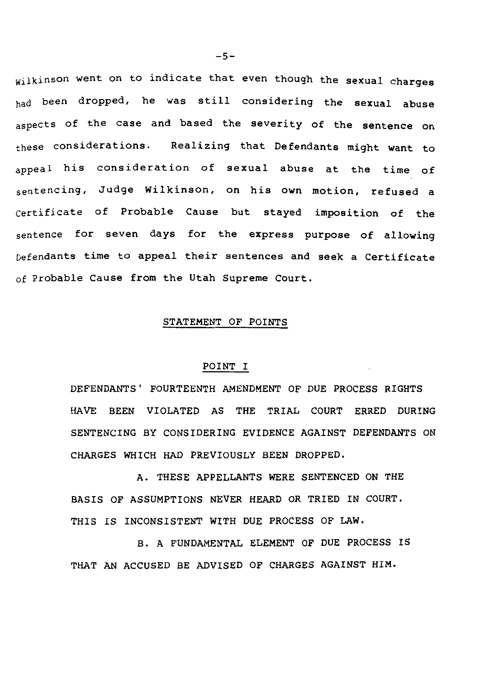wilkinson went on to indicate that even though the sexual charges had been dropped, he was still considering the sexual abuse aspects of the case and based the severity of the sentence on these considerations. Realizing that Defendants might want to appeal his consideration of sexual abuse at the time of sentencing, Judge Wilkinson, on his own motion, refused a certificate of Probable Cause but stayed imposition of the sentence for seven days for the express purpose of allowing Defendants time to appeal their sentences and seek a Certificate of Probable Cause from the Utah Supreme Court.

# STATEMENT OF POINTS

# POINT I

DEFENDANTS' FOURTEENTH AMENDMENT OF DUE PROCESS RIGHTS HAVE BEEN VIOLATED AS THE TRIAL COURT ERRED DURING SENTENCING BY CONSIDERING EVIDENCE AGAINST DEFENDANTS ON CHARGES WHICH HAD PREVIOUSLY BEEN DROPPED.

A. THESE APPELLANTS WERE SENTENCED ON THE BASIS OF ASSUMPTIONS NEVER HEARD OR TRIED IN COURT. THIS IS INCONSISTENT WITH DUE PROCESS OF LAW.

B. A FUNDAMENTAL ELEMENT OF DUE PROCESS IS THAT AN ACCUSED BE ADVISED OF CHARGES AGAINST HIM.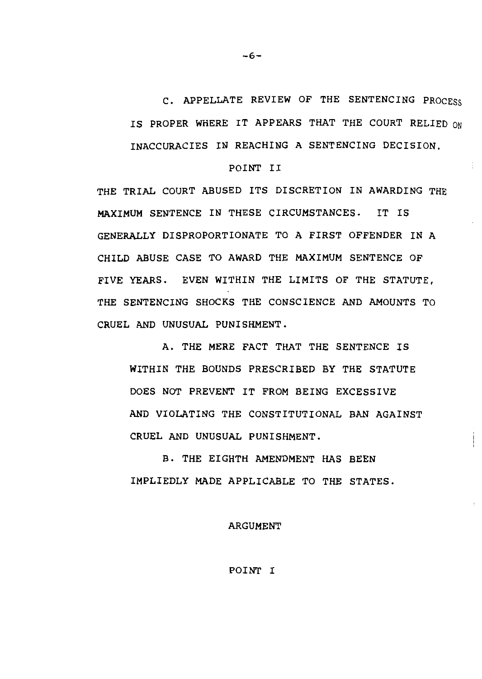C. APPELLATE REVIEW OF THE SENTENCING PROCESS IS PROPER WHERE IT APPEARS THAT THE COURT RELIED ON INACCURACIES IN REACHING A SENTENCING DECISION.

#### POINT II

THE TRIAL COURT ABUSED ITS DISCRETION IN AWARDING THE MAXIMUM SENTENCE IN THESE CIRCUMSTANCES. IT IS GENERALLY DISPROPORTIONATE TO A FIRST OFFENDER IN A CHILD ABUSE CASE TO AWARD THE MAXIMUM SENTENCE OF FIVE YEARS. EVEN WITHIN THE LIMITS OF THE STATUTE, THE SENTENCING SHOCKS THE CONSCIENCE AND AMOUNTS TO CRUEL AND UNUSUAL PUNISHMENT.

A. THE MERE FACT THAT THE SENTENCE IS WITHIN THE BOUNDS PRESCRIBED BY THE STATUTE DOES NOT PREVENT IT FROM BEING EXCESSIVE AND VIOLATING THE CONSTITUTIONAL BAN AGAINST CRUEL AND UNUSUAL PUNISHMENT.

B. THE EIGHTH AMENDMENT HAS BEEN IMPLIEDLY MADE APPLICABLE TO THE STATES.

#### ARGUMENT

# POINT I

-6-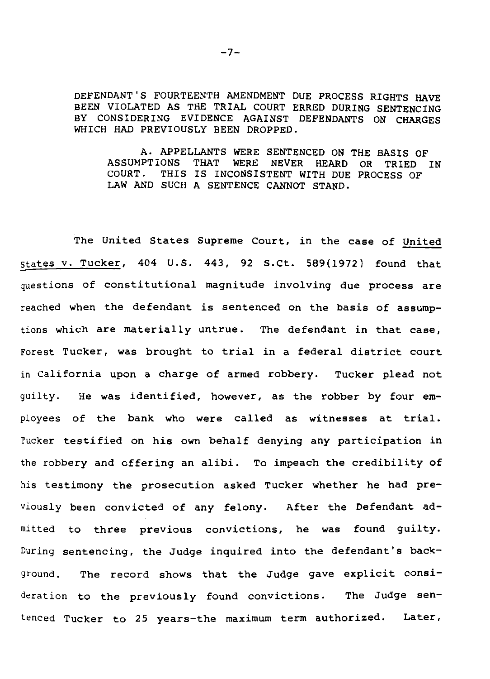DEFENDANT'S FOURTEENTH AMENDMENT DUE PROCESS RIGHTS HAVE BEEN VIOLATED AS THE TRIAL COURT ERRED DURING SENTENCING BY CONSIDERING EVIDENCE AGAINST DEFENDANTS ON CHARGES WHICH HAD PREVIOUSLY BEEN DROPPED.

A. APPELLANTS WERE SENTENCED ON THE BASIS OF ASSUMPTIONS THAT WERE NEVER HEARD OR TRIED IN COURT. THIS IS INCONSISTENT WITH DUE PROCESS OF THIS IS INCONSISTENT WITH DUE PROCESS OF LAW AND SUCH A SENTENCE CANNOT STAND.

The United States Supreme Court, in the case of United States v. Tucker, 404 U.S. 443, 92 S.Ct. 589(1972) found that questions of constitutional magnitude involving due process are reached when the defendant *is* sentenced on the basis of assumptions which are materially untrue. The defendant *in* that case, Forest Tucker, was brought to trial *in* a federal district court in California upon a charge of armed robbery. Tucker plead not guilty. He was identified, however, as the robber by four employees of the bank who were called as witnesses at trial. Tucker testified on his own behalf denying any participation in the robbery and offering an alibi. To impeach the credibility of his testimony the prosecution asked Tucker whether he had previously been convicted of any felony. After the Defendant admitted to three previous convictions, he was found guilty. During sentencing, the Judge inquired into the defendant's background. The record shows that the Judge gave explicit consideration to the previously found convictions. The Judge sentenced Tucker to 25 years-the maximum term authorized. Later,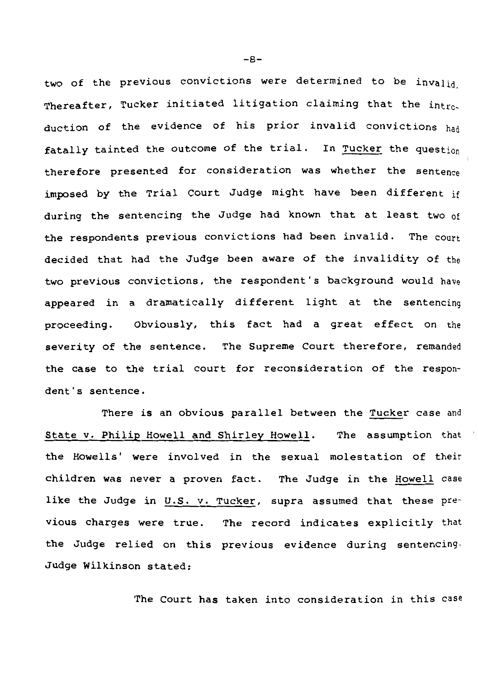two of the previous convictions were determined to be invalid Thereafter, Tucker initiated litigation claiming that the introduction of the evidence of his prior invalid convictions had fatally tainted the outcome of the trial. In Tucker the question therefore presented for consideration was whether the sentence imposed by the Trial Court Judge might have been different if during the sentencing the Judge had known that at least two of the respondents previous convictions had been invalid. The court decided that had the Judge been aware of the invalidity of the two previous convictions, the respondent's background would have appeared in a dramatically different light at the sentencing proceeding. Obviously, this fact had a great effect on the severity of the sentence. The Supreme Court therefore, remanded the case to the trial court for reconsideration of the respondent's sentence.

There is an obvious parallel between the Tucker case and State *v.* Philip Howell and Shirley Howell. The assumption that the Howells' were involved in the sexual molestation of their children was never a proven fact. The Judge in the Howell case like the Judge in U.S. v. Tucker, supra assumed that these previous charges were true. The record indicates explicitly that the Judge relied on this previous evidence during sentencing. Judge Wilkinson stated:

The Court has taken into consideration in this case

-8-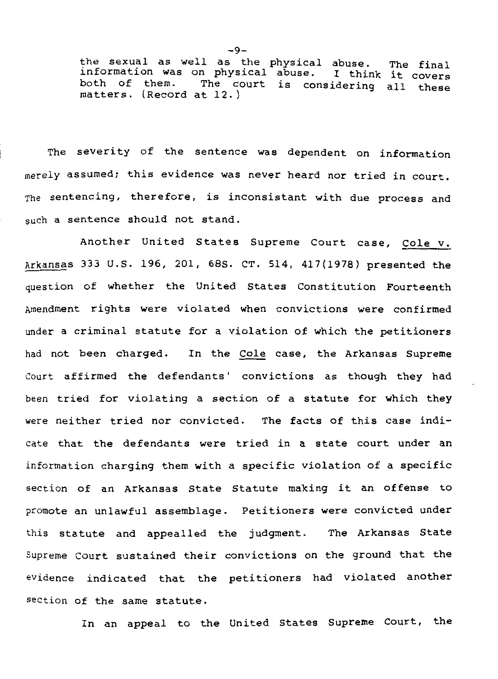the sexual as well as the physical abuse. information was on physical abuse. I think both of them. The court is considering all these matters. (Record at 12.) The final I think it covers

The severity of the sentence was dependent on information merely assumed; this evidence was never heard nor tried in court. The sentencing, therefore, *is* inconsistant with due process and such a sentence should not stand.

Another United States Supreme Court case, Cole v. Arkansas 333 U.S. 196, 201, 68S. CT. 514, 417(1978) presented the question of whether the United States Constitution Fourteenth Amendment rights were violated when convictions were confirmed under a criminal statute for a violation of which the petitioners had not been charged. In the Cole case, the Arkansas Supreme Court affirmed the defendants' convictions as though they had been tried for violating a section of a statute for which they were neither tried nor convicted. The facts of this case indicate that the defendants were tried *in* a state court under an information charging them with a specific violation of a specific section of an Arkansas State Statute making it an offense to promote an unlawful assemblage. Petitioners were convicted under this statute and appealled the judgment. The Arkansas State Supreme Court sustained their convictions on the ground that the evidence indicated that the petitioners had violated another section of the same statute.

In an appeal to the United States Supreme Court, the

-9-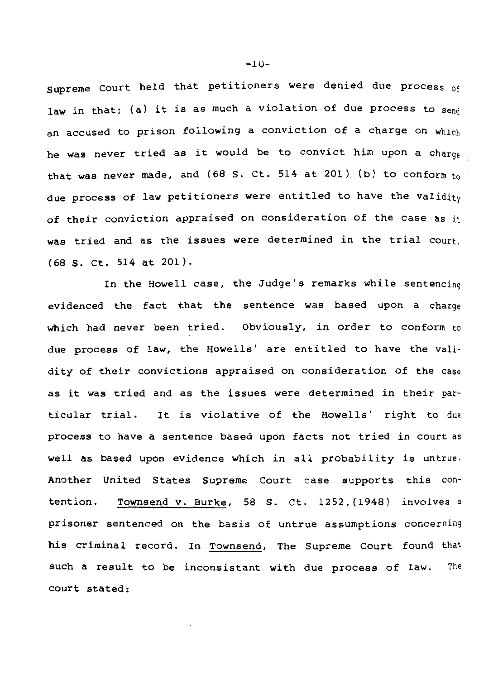Supreme Court held that petitioners were denied due process of law in that; (a) it is as much a violation of due process to send an accused to prison following a conviction of a charge on which he was never tried as it would be to convict him upon a charge that was never made, and (68 S. Ct. 514 at 201) (b) to conform to due process of law petitioners were entitled to have the validity of their conviction appraised on consideration of the case as it was tried and as the issues were determined in the trial court. (68 S. Ct. 514 at 201).

In the Howell case, the Judge's remarks while sentencing evidenced the fact that the sentence was based upon a charge which had never been tried. Obviously, in order to conform to due process of law, the Howells' are entitled to have the validity of their convictions appraised on consideration of the case as it was tried and as the issues were determined in their particular trial. It is violative of the Howells' right to due process to have a sentence based upon facts not tried in court as well as based upon evidence which in all probability is untrue. Another United States Supreme Court case supports this contention. Townsend v. Burke, 58 S. Ct. 1252, (1948) involves a prisoner sentenced on the basis of untrue assumptions concerning his criminal record. In Townsend, The Supreme Court found that such a result to be inconsistant with due process of law. The court stated:

-10-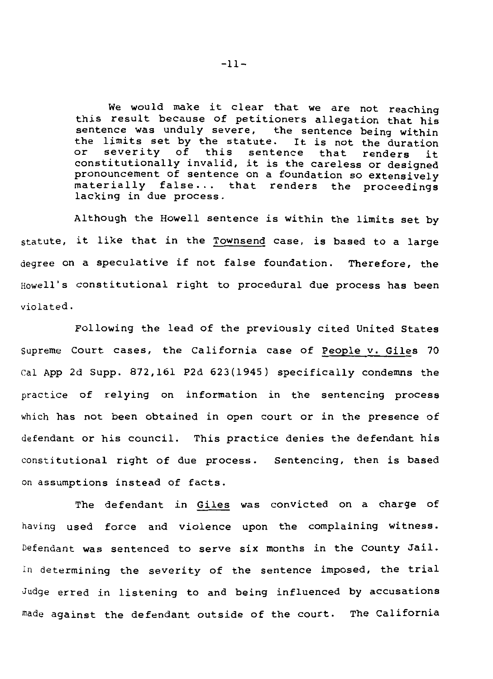We would make it clear that we are not reaching this result because of petitioners allegation that his sentence was unduly severe, the sentence being within the limits set by the statute. It is not the duration<br>or severity of this sentence that renders it severity of this sentence that constitutionally invalid, it is the careless or designed pronouncement of sentence on a foundation so extensively materially false... that renders the proceedings lacking in due process.

Although the Howell sentence is within the limits set by statute, it like that in the Townsend case, is based to a large degree on a speculative if not false foundation. Therefore, the Howell's constitutional right to procedural due process has been violated.

Following the lead of the previously cited United States Supreme Court cases, the California case of People v. Giles 70 Cal App 2d Supp. 872,161 P2d 623(1945) specifically condemns the practice of relying on information in the sentencing process which has not been obtained in open court or in the presence of defendant or his council. This practice denies the defendant his constitutional right of due process. Sentencing, then is based on assumptions instead of facts.

The defendant in Giles was convicted on a charge of having used force and violence upon the complaining witness. Defendant was sentenced to serve six months in the County Jail· In determining the severity of the sentence imposed, the trial Judge erred in listening to and being influenced by accusations made against the defendant outside of the court. The California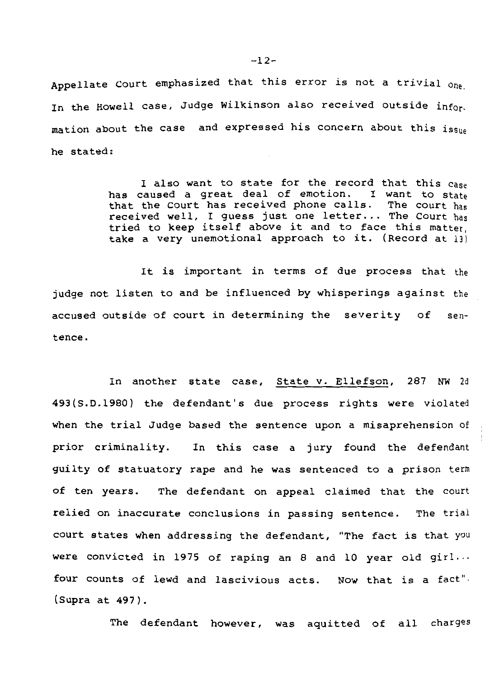Appellate Court emphasized that this error is not a trivial one In the Howell case, Judge Wilkinson also received outside information about the case and expressed his concern about this issue he stated:

> I also want to state for the record that this case<br>caused a great deal of emotion. I want to state has caused a great deal of emotion. that the Court has received phone calls. The court has received well, I guess just one letter... The Court has tried to keep itself above it and to face this matter, take a very unemotional approach to it. (Record at 13)

It *is* important in terms of due process that the judge not listen to and be influenced by whisperings against the accused outside of court in determining the severity of sentence.

In another state case, State v. Ellefson, 287 NW 2d 493(S.D.1980) the defendant's due process rights were violated when the trial Judge based the sentence upon a misaprehension of prior criminality. In this case a jury found the defendant guilty of statuatory rape and he was sentenced to a prison term of ten years. The defendant on appeal claimed that the court relied on inaccurate conclusions in passing sentence. The trial court states when addressing the defendant, "The fact *is* that you were convicted in 1975 of raping an 8 and 10 year old girl... four counts of lewd and lascivious acts. Now that *is* a fact". (Supra at 497).

The defendant however, was aquitted of all charges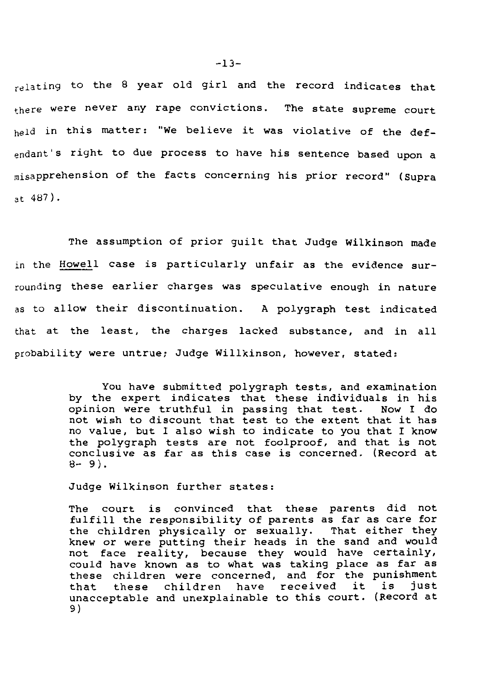relating to the 8 year old girl and the record indicates that there were never any rape convictions. The state supreme court held in this matter: "We believe it was violative of the defendant's right to due process to have his sentence based upon a misapprehension of the facts concerning his prior record" (supra at 487).

The assumption of prior guilt that Judge Wilkinson made in the Howell case is particularly unfair as the evidence surrounding these earlier charges was speculative enough in nature as to allow their discontinuation. A polygraph test indicated that at the least, the charges lacked substance, and in all probability were untrue; Judge Willkinson, however, stated:

> You have submitted polygraph tests, and examination by the expert indicates that these individuals in his opinion were truthful in passing that test. Now I do opinion were truthful in passing that test. not wish to discount that test to the extent that it has no value, but I also wish to indicate to you that I know the polygraph tests are not foolproof, and that is not conclusive as far as this case is concerned. (Record at  $8 - 9$ .

Judge Wilkinson further states:

The court is convinced that these parents did not fulfill the responsibility of parents as far as care for the children physically or sexually. That either they knew or were putting their heads in the sand and would not face reality, because they would have certainly, could have known as to what was taking place as far as these children were concerned, and for the punishment<br>that these children have received it is just that these children have received it is unacceptable and unexplainable to this court. (Record at 9)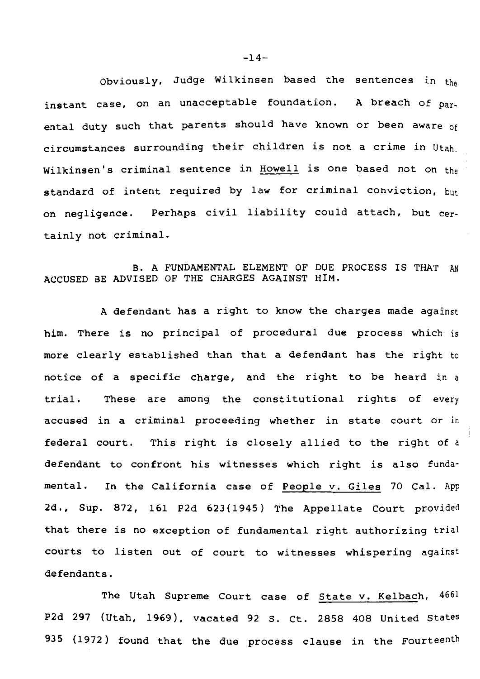Obviously, Judge Wilkinsen based the sentences in the instant case, on an unacceptable foundation. A breach of parental duty such that parents should have known or been aware of circumstances surrounding their children is not a crime in Utah. Wilkinsen's criminal sentence in Howell is one based not on the standard of intent required by law for criminal conviction, but on negligence. Perhaps civil liability could attach, but certainly not criminal.

B. A FUNDAMENTAL ELEMENT OF DUE PROCESS IS THAT AN ACCUSED BE ADVISED OF THE CHARGES AGAINST HIM.

A defendant has a right to know the charges made against him. There is no principal of procedural due process which is more clearly established than that a defendant has the right to notice of a specific charge, and the right to be heard in a trial. These are among the constitutional rights of every accused in a criminal proceeding whether in state court or in federal court. This right is closely allied to the right of a defendant to confront his witnesses which right is also fundamental. In the California case of People v. Giles 70 Cal. App 2d., Sup. 872, 161 P2d 623(1945) The Appellate Court provided that there is no exception of fundamental right authorizing trial courts to listen out of court to witnesses whispering against defendants.

The Utah Supreme Court case of State v. Kelbach, 4661 P2d 297 (Utah, 1969). vacated 92 S. Ct. 2858 408 United States 935 (1972) found that the due process clause in the Fourteenth

 $-14-$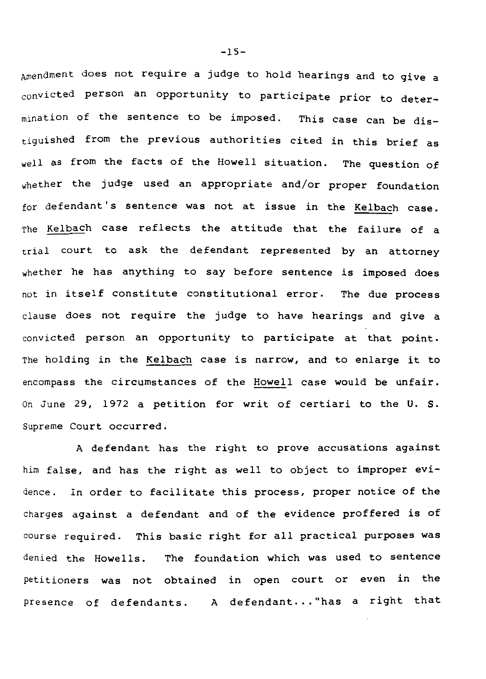Amendment does not require a judge to hold hearings and to give a convicted person an opportunity to participate prior to determination of the sentence to be imposed. This case can be distiguished from the previous authorities cited in this brief as well as from the facts of the Howell situation. The question of whether the judge used an appropriate and/or proper foundation for defendant's sentence was not at issue in the Kelbach case. The Kelbach case reflects the attitude that the failure of a trial court to ask the defendant represented by an attorney whether he has anything to say before sentence is imposed does not in itself constitute constitutional error. The due process clause does not require the judge to have hearings and give a convicted person an opportunity to participate at that point. The holding in the Kelbach case is narrow, and to enlarge it to encompass the circumstances of the Howell case would be unfair. On June 29, 1972 a petition for writ of certiari to the U. S. Supreme Court occurred.

A defendant has the right to prove accusations against him false, and has the right as well to object to improper evidence. In order to facilitate this process, proper notice of the charges against a defendant and of the evidence proffered is of course required. This basic right for all practical purposes was denied the Howells. The foundation which was used to sentence petitioners was not obtained in open court or even in the presence of defendants. A defendant... "has a right that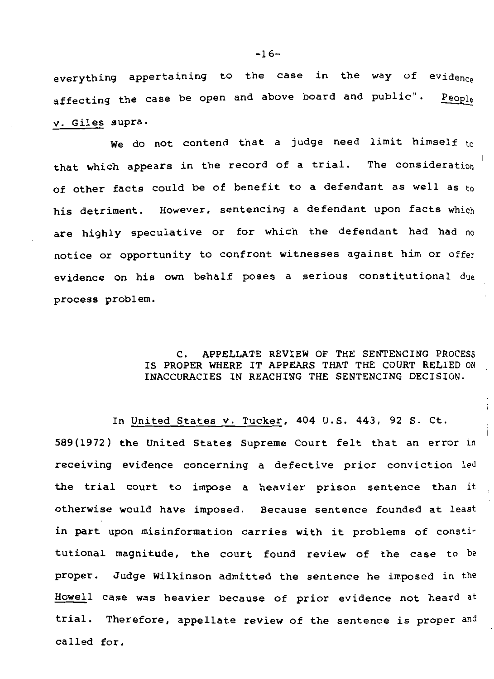everything appertaining to the case in the way of evidence affecting the case be open and above board and public". People v. Giles supra.

We do not contend that a judge need limit himself  $t_0$ that which appears in the record of a trial. The consideration of other facts could be of benefit to a defendant as well as to his detriment. However, sentencing a defendant upon facts which are highly speculative or for which the defendant had had no notice or opportunity to confront witnesses against him or offer evidence on his own behalf poses a serious constitutional due process problem.

# C. APPELLATE REVIEW OF THE SENTENCING PROCESS IS PROPER WHERE IT APPEARS THAT THE COURT RELIED ON INACCURACIES IN REACHING THE SENTENCING DECISION.

In United States v. Tucker, 404 U.S. 443, 92 S. Ct. 589(1972) the United States Supreme Court felt that an error in receiving evidence concerning a defective prior conviction led the trial court to impose a heavier prison sentence than it otherwise would have imposed. Because sentence founded at least in part upon misinformation carries with it problems of constitutional magnitude, the court found review of the case to be proper. Judge Wilkinson admitted the sentence he imposed in the Howell case was heavier because of prior evidence not heard at trial. Therefore, appellate review of the sentence is proper and called for.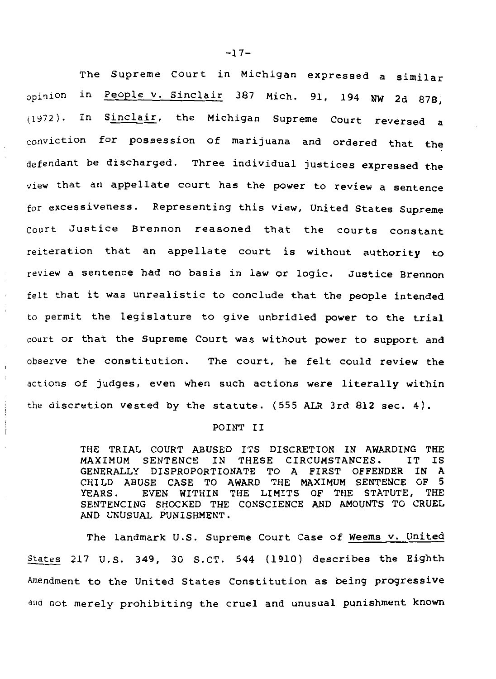The Supreme Court in Michigan expressed a similar opinion in People v. Sinclair 387 Mich. 91, 194 NW 2d 878, (1972). In Sinclair, the Michigan Supreme Court reversed a conviction for possession of marijuana and ordered that the defendant be discharged. Three individual justices expressed the view that an appellate court has the power to review a sentence for excessiveness. Representing this view, United States Supreme court Justice Brennon reasoned that the courts constant reiteration that an appellate court is without authority to review a sentence had no basis in law or logic. Justice Brennon felt that it was unrealistic to conclude that the people intended to permit the legislature to give unbridled power to the trial court or that the Supreme Court was without power to support and observe the constitution. The court, he felt could review the actions of judges, even when such actions were literally within the discretion vested by the statute. (555 ALR 3rd 812 sec. 4).

#### POINT II

THE TRIAL COURT ABUSED ITS DISCRETION IN AWARDING THE MAXIMUM SENTENCE IN THESE CIRCUMSTANCES. IT IS SENTENCE IN THESE GENERALLY DISPROPORTIONATE TO A FIRST OFFENDER IN A CHILD ABUSE CASE TO AWARD THE MAXIMUM SENTENCE OF 5 YEARS. EVEN WITHIN THE LIMITS OF THE STATUTE, THE SENTENCING SHOCKED THE CONSCIENCE AND AMOUNTS TO CRUEL AND UNUSUAL PUNISHMENT.

The landmark U.S. Supreme Court Case of Weems v. United States 217 U.S. 349, 30 S.CT. 544 (1910) describes the Eighth Amendment to the United States Constitution as being progressive and not merely prohibiting the cruel and unusual punishment known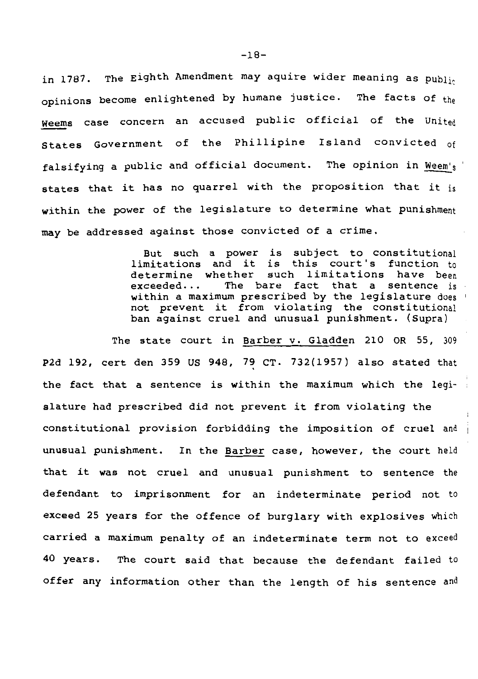in 1787. The Eighth Amendment may aquire wider meaning as  $p_{\text{ubli}_0}$ opinions become enlightened by humane justice. The facts of the Weems case concern an accused public official of the United states Government of the Phillipine Island convicted of falsifying a public and official document. The opinion in Weem's states that it has no quarrel with the proposition that it is within the power of the legislature to determine what punishment may be addressed against those convicted of a crime.

> But such a power is subject to constitutional limitations and it is this court's function to determine whether such limitations have been<br>exceeded... The bare fact that a sentence is that a sentence is within a maximum prescribed by the legislature does not prevent it from violating the constitutional ban against cruel and unusual punishment. (Supra)

The state court in Barber v. Gladden 210 OR 55, 309 P2d 192, cert den 359 US 948, 79 CT. 732(1957) also stated that the fact that a sentence is within the maximum which the legislature had prescribed did not prevent it from violating the constitutional provision forbidding the imposition of cruel and unusual punishment. In the Barber case, however, the court held that it was not cruel and unusual punishment to sentence the defendant to imprisonment for an indeterminate period not to exceed 25 years for the offence of burglary with explosives which carried a maximum penalty of an indeterminate term not to exceed 40 years. The court said that because the defendant failed to offer any information other than the length of his sentence and

-18-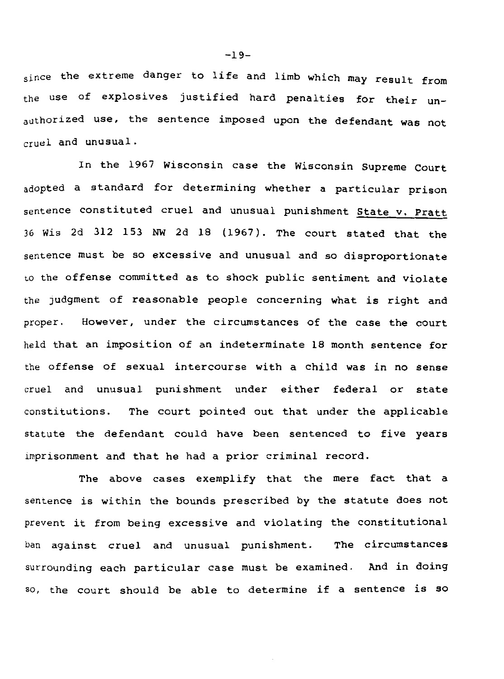since the extreme danger to life and limb which may result from the use of explosives justified hard penalties for their unauthorized use, the sentence imposed upon the defendant was not cruel and unusual.

In the 1967 Wisconsin case the Wisconsin Supreme Court adopted a standard for determining whether a particular prison sentence constituted cruel and unusual punishment State v. Pratt 36 Wis 2d 312 153 NW 2d 18 (1967). The court stated that the sentence must be so excessive and unusual and so disproportionate to the offense committed as to shock public sentiment and violate the Judgment of reasonable people concerning what is right and proper. However, under the circumstances of the case the court held that an imposition of an indeterminate 18 month sentence for the offense of sexual intercourse with a child was in no sense cruel and unusual punishment under either federal or state constitutions. The court pointed out that under the applicable statute the defendant could have been sentenced to five years imprisonment and that he had a prior criminal record.

The above cases exemplify that the mere fact that a sentence is within the bounds prescribed by the statute does not prevent it from being excessive and violating the constitutional ban against cruel and unusual punishment. The circumstances surrounding each particular case must be examined. And in doing so, the court should be able to determine if a sentence is so

-19-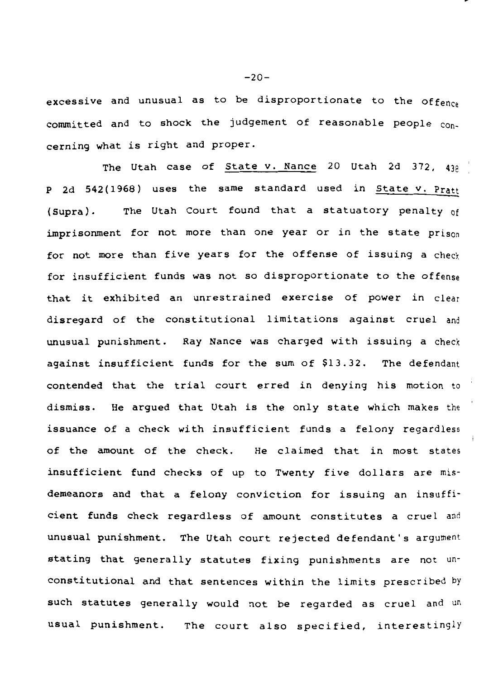excessive and unusual as to be disproportionate to the offence committed and to shock the judgement of reasonable people concerning what is right and proper.

The Utah case of State v. Nance 20 Utah 2d 372, 439 P 2d 542(1968) uses the same standard used in State v. Pratt (Supra). The Utah Court found that a statuatory penalty of imprisonment for not more than one year or in the state prison for not more than five years for the offense of issuing a check for insufficient funds was not so disproportionate to the offense that it exhibited an unrestrained exercise of power in clear disregard of the constitutional limitations against cruel and unusual punishment. Ray Nance was charged with issuing a check against insufficient funds for the sum of \$13.32. The defendant contended that the trial court erred in denying his motion to dismiss. He argued that Utah is the only state which makes the issuance of a check with insufficient funds a felony regardless of the amount of the check. He claimed that in most states insufficient fund checks of up to Twenty five dollars are misdemeanors and that a felony conviction for issuing an insufficient funds check regardless of amount constitutes a cruel and unusual punishment. The Utah court rejected defendant's argument stating that generally statutes fixing punishments are not unconstitutional and that sentences within the limits prescribed by such statutes generally would not be regarded as cruel and un usual punishment. The court also specified, interestingly

 $-20-$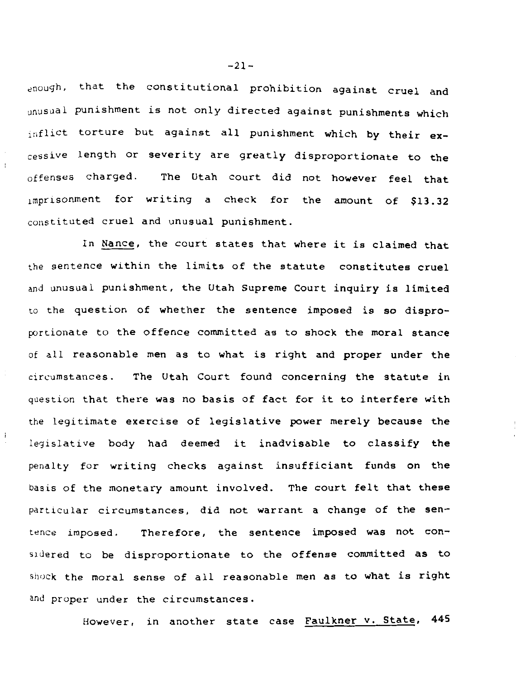enough, that the constitutional prohibition against cruel and unusual punishment is not only directed against punishments which inflict torture but against all punishment which by their excessive length or severity are greatly disproportionate to the offenses charged. The Utah court *did* not however feel that 1rnprisonment for writing a check for the amount of \$13.32 constituted cruel and unusual punishment.

In Nance, the court states that where it *is* claimed that the sentence within the *limits* of the statute constitutes cruel and unusual punishment, the Utah Supreme Court inquiry *is* limited to the question of whether the sentence imposed is so disproportionate to the offence committed as to shock the moral stance of all reasonable men as to what is right and proper under the circumstances. The Utah Court found concerning the statute in question that there was no basis of fact for it to interfere with the legitimate exercise of legislative power merely because the legislative body had deemed it inadvisable to classify the penalty for writing checks against insufficiant funds on the basis of the monetary amount involved. The court felt that these particular circumstances, *did* not warrant a change of the sentence *imposed.* Therefore, the sentence imposed was not considered to be disproportionate to the offense committed as to shock the moral sense of all reasonable men as to what is right and proper under the circumstances.

However, in another state case Faulkner v. State, 445

 $-21-$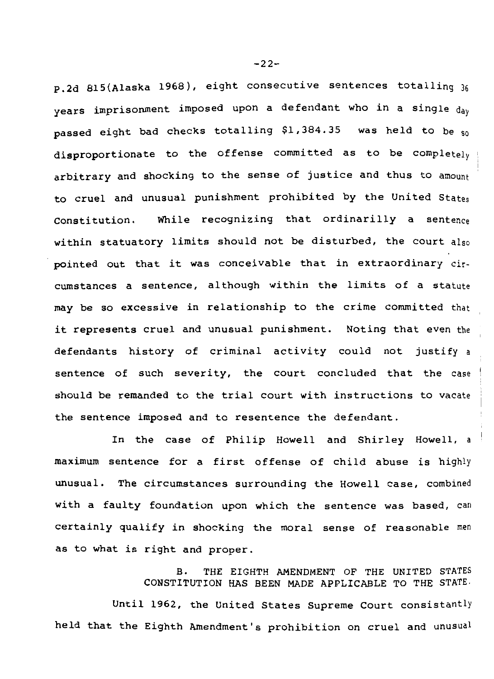p.2d 815(Alaska 1968), eight consecutive sentences totalling 36 years imprisonment imposed upon a defendant who in a single day passed eight bad checks totalling \$1,384.35 was held to be so disproportionate to the offense committed as to be completely arbitrary and shocking to the sense of justice and thus to amount to cruel and unusual punishment prohibited by the United States Constitution. While recognizing that ordinarilly a sentence within statuatory limits should not be disturbed, the court also pointed out that it was conceivable that in extraordinary circumstances a sentence, although within the limits of a statute may be so excessive in relationship to the crime committed that it represents cruel and unusual punishment. Noting that even the defendants history of criminal activity could not justify a sentence of such severity, the court concluded that the case should be remanded to the trial court with instructions to vacate the sentence imposed and to resentence the defendant.

In the case of Philip Howell and Shirley Howell, a maximum sentence for a first offense of child abuse is highly unusual. The circumstances surrounding the Howell case, combined with a faulty foundation upon which the sentence was based, can certainly qualify in shocking the moral sense of reasonable men as to what is right and proper.

> B. THE EIGHTH AMENDMENT OF THE UNITED STATES CONSTITUTION HAS BEEN MADE APPLICABLE TO THE STATE.

Until 1962, the United States Supreme Court consistantly held that the Eighth Amendment's prohibition on cruel and unusual

-22-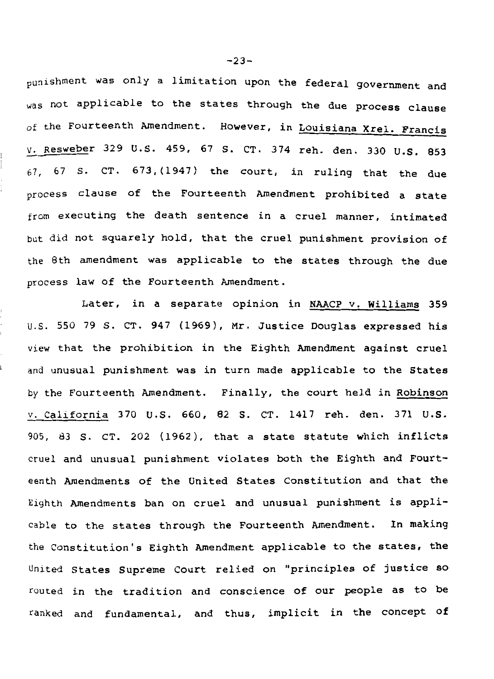punishment was only a limitation upon the federal government and was not applicable to the states through the due process clause of the Fourteenth Amendment. However, in Louisiana Xrel. Francis *v.* Resweber 329 U.S. 459, 67 S. CT. 374 reh. den. 330 U.S. 853  $67, 67$  S. CT.  $673, (1947)$  the court, in ruling that the due process clause of the Fourteenth Amendment prohibited a state from executing the death sentence in a cruel manner, intimated but did not squarely hold, that the cruel punishment provision of the 8th amendment was applicable to the states through the due process law of the Fourteenth Amendment.

Later, in a separate opinion in NAACP v. Williams 359 u.s. 550 79 s. CT. 947 (1969), Mr. Justice Douglas expressed his view that the prohibition in the Eighth Amendment against cruel and unusual punishment was in turn made applicable to the States by the Fourteenth Amendment. Finally, the court held in Robinson v. California 370 U.S. 660, 82 s. CT. 1417 reh. den. 371 U.S. 905, 83 s. CT. 202 (1962), that a state statute which inflicts cruel and unusual punishment violates both the Eighth and Fourteenth Amendments of the United States Constitution and that the Eighth Amendments ban on cruel and unusual punishment is applicable to the states through the Fourteenth Amendment. In making the Constitution's Eighth Amendment applicable to the states, the United States Supreme court relied on "principles of justice so routed in the tradition and conscience of our people as to be ranked and fundamental, and thus, implicit in the concept of

 $-23-$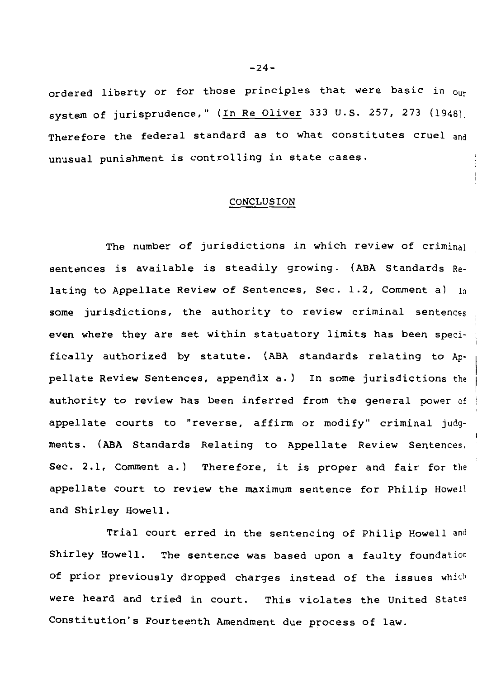ordered liberty or for those principles that were basic in our system of jurisprudence," (In Re Oliver 333 U.S. 257, 273 (1948). Therefore the federal standard as to what constitutes cruel and unusual punishment is controlling in state cases.

## CONCLUSION

The number of jurisdictions in which review of criminal sentences is available is steadily growing. (ABA Standards Relating to Appellate Review of Sentences, Sec. 1.2, Comment a)  $I_n$ some jurisdictions, the authority to review criminal sentences even where they are set within statuatory limits has been speci· fically authorized by statute. (ABA standards relating to Appellate Review Sentences, appendix a.) In some jurisdictions the authority to review has been inferred from the general power of appellate courts to "reverse, affirm or modify" criminal judg· ments. (ABA Standards Relating to Appellate Review Sentences, Sec. 2.1, Comment a.) Therefore, it is proper and fair for the appellate court to review the maximum sentence for Philip Howell and Shirley Howell.

Trial court erred in the sentencing of Philip Howell and Shirley Howell. The sentence was based upon a faulty foundatior. of prior previously dropped charges instead of the issues which were heard and tried in court. This violates the United States Constitution's Fourteenth Amendment due process of law.